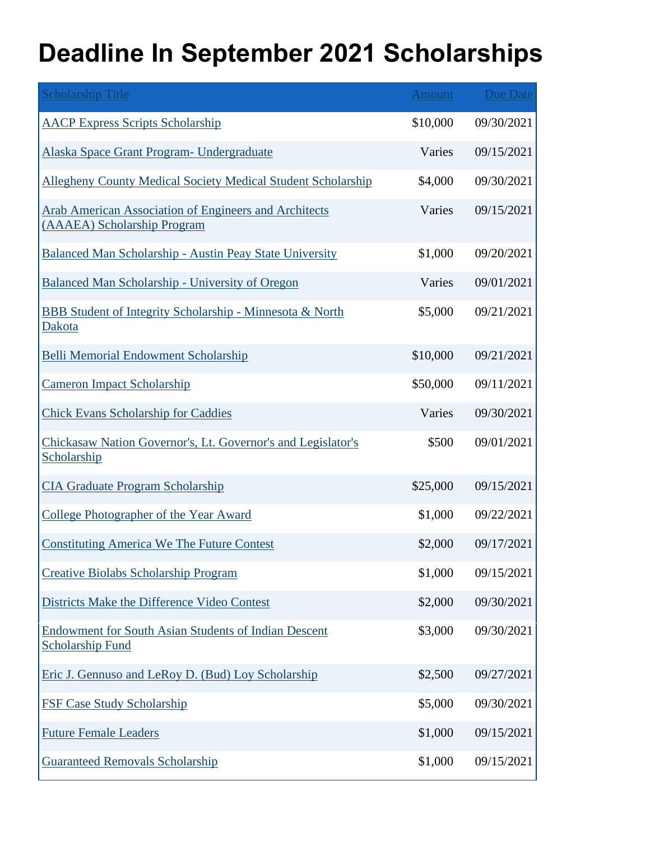## **Deadline In September 2021 Scholarships**

| <b>Scholarship Title</b>                                                               | <b>Amount</b> | <b>Due Date</b> |
|----------------------------------------------------------------------------------------|---------------|-----------------|
| <b>AACP Express Scripts Scholarship</b>                                                | \$10,000      | 09/30/2021      |
| Alaska Space Grant Program- Undergraduate                                              | Varies        | 09/15/2021      |
| <b>Allegheny County Medical Society Medical Student Scholarship</b>                    | \$4,000       | 09/30/2021      |
| Arab American Association of Engineers and Architects<br>(AAAEA) Scholarship Program   | Varies        | 09/15/2021      |
| <b>Balanced Man Scholarship - Austin Peay State University</b>                         | \$1,000       | 09/20/2021      |
| <b>Balanced Man Scholarship - University of Oregon</b>                                 | Varies        | 09/01/2021      |
| <b>BBB Student of Integrity Scholarship - Minnesota &amp; North</b><br>Dakota          | \$5,000       | 09/21/2021      |
| Belli Memorial Endowment Scholarship                                                   | \$10,000      | 09/21/2021      |
| <b>Cameron Impact Scholarship</b>                                                      | \$50,000      | 09/11/2021      |
| <b>Chick Evans Scholarship for Caddies</b>                                             | Varies        | 09/30/2021      |
| Chickasaw Nation Governor's, Lt. Governor's and Legislator's<br>Scholarship            | \$500         | 09/01/2021      |
| <b>CIA Graduate Program Scholarship</b>                                                | \$25,000      | 09/15/2021      |
| College Photographer of the Year Award                                                 | \$1,000       | 09/22/2021      |
| <b>Constituting America We The Future Contest</b>                                      | \$2,000       | 09/17/2021      |
| <b>Creative Biolabs Scholarship Program</b>                                            | \$1,000       | 09/15/2021      |
| Districts Make the Difference Video Contest                                            | \$2,000       | 09/30/2021      |
| <b>Endowment for South Asian Students of Indian Descent</b><br><b>Scholarship Fund</b> | \$3,000       | 09/30/2021      |
| Eric J. Gennuso and LeRoy D. (Bud) Loy Scholarship                                     | \$2,500       | 09/27/2021      |
| <b>FSF Case Study Scholarship</b>                                                      | \$5,000       | 09/30/2021      |
| <b>Future Female Leaders</b>                                                           | \$1,000       | 09/15/2021      |
| <b>Guaranteed Removals Scholarship</b>                                                 | \$1,000       | 09/15/2021      |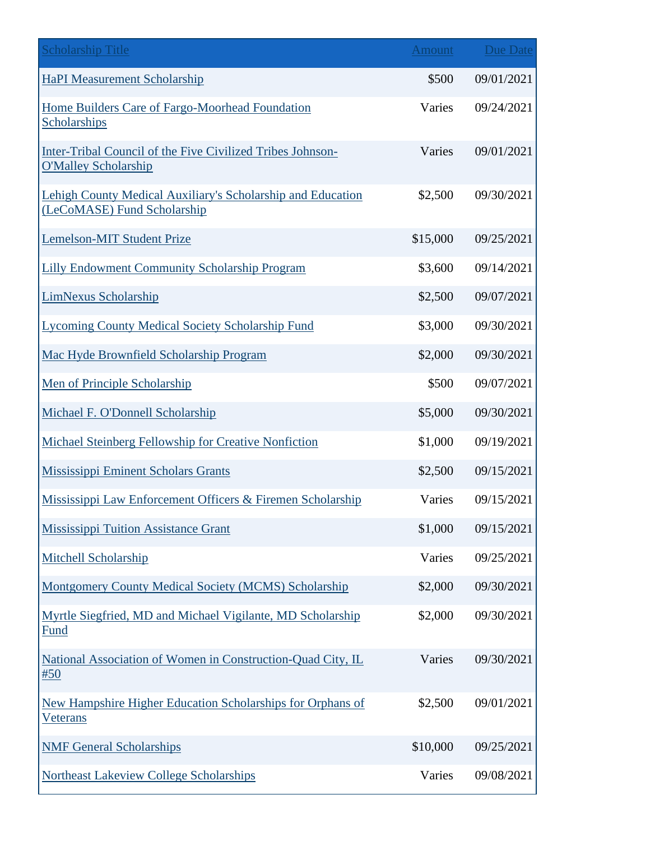| <b>Scholarship Title</b>                                                                   | <b>Amount</b> | Due Date   |
|--------------------------------------------------------------------------------------------|---------------|------------|
| <b>HaPI Measurement Scholarship</b>                                                        | \$500         | 09/01/2021 |
| Home Builders Care of Fargo-Moorhead Foundation<br>Scholarships                            | Varies        | 09/24/2021 |
| Inter-Tribal Council of the Five Civilized Tribes Johnson-<br><b>O'Malley Scholarship</b>  | Varies        | 09/01/2021 |
| Lehigh County Medical Auxiliary's Scholarship and Education<br>(LeCoMASE) Fund Scholarship | \$2,500       | 09/30/2021 |
| <b>Lemelson-MIT Student Prize</b>                                                          | \$15,000      | 09/25/2021 |
| <b>Lilly Endowment Community Scholarship Program</b>                                       | \$3,600       | 09/14/2021 |
| <b>LimNexus Scholarship</b>                                                                | \$2,500       | 09/07/2021 |
| <b>Lycoming County Medical Society Scholarship Fund</b>                                    | \$3,000       | 09/30/2021 |
| Mac Hyde Brownfield Scholarship Program                                                    | \$2,000       | 09/30/2021 |
| Men of Principle Scholarship                                                               | \$500         | 09/07/2021 |
| Michael F. O'Donnell Scholarship                                                           | \$5,000       | 09/30/2021 |
| <b>Michael Steinberg Fellowship for Creative Nonfiction</b>                                | \$1,000       | 09/19/2021 |
| <b>Mississippi Eminent Scholars Grants</b>                                                 | \$2,500       | 09/15/2021 |
| Mississippi Law Enforcement Officers & Firemen Scholarship                                 | Varies        | 09/15/2021 |
| <b>Mississippi Tuition Assistance Grant</b>                                                | \$1,000       | 09/15/2021 |
| <b>Mitchell Scholarship</b>                                                                | Varies        | 09/25/2021 |
| Montgomery County Medical Society (MCMS) Scholarship                                       | \$2,000       | 09/30/2021 |
| Myrtle Siegfried, MD and Michael Vigilante, MD Scholarship<br>Fund                         | \$2,000       | 09/30/2021 |
| National Association of Women in Construction-Quad City, IL<br>#50                         | Varies        | 09/30/2021 |
| New Hampshire Higher Education Scholarships for Orphans of<br>Veterans                     | \$2,500       | 09/01/2021 |
| <b>NMF General Scholarships</b>                                                            | \$10,000      | 09/25/2021 |
| <b>Northeast Lakeview College Scholarships</b>                                             | Varies        | 09/08/2021 |